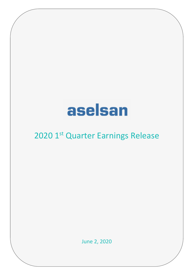# aselsan

# 2020 1st Quarter Earnings Release

June 2, 2020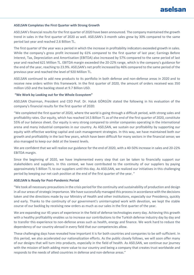# aselsan

#### **ASELSAN Completes the First Quarter with Strong Growth**

ASELSAN's financial results for the first quarter of 2020 have been announced. The company maintained the growth trend in sales in the first quarter of 2020 as well. ASELSAN's 3-month sales grew by 30% compared to the same period last year and reached 2.6 Billion TL.

The first quarter of the year was a period in which the increase in profitability indicators exceeded growth in sales. While the company's gross profit increased by 61% compared to the first quarter of last year; Earnings Before Interest, Tax, Depreciation and Amortisation (EBITDA) also increased by 57% compared to the same period of last year and reached 621 Million TL. EBITDA margin exceeded the 20-22% range, which is the company's guidance for the end of the year, reaching to 23.9%. ASELSAN's net profit increased by 46% compared to the same period of the previous year and reached the level of 920 Million TL.

ASELSAN continued to add new products to its portfolio in both defense and non-defense areas in 2020 and to receive new orders within this framework. In the first quarter of 2020, the amount of orders received was 350 million USD and the backlog stood at 9.7 Billion USD.

#### **"We Work by Looking out for the Whole Ecosystem"**

ASELSAN Chairman, President and CEO Prof. Dr. Haluk GÖRGÜN stated the following in his evaluation of the company's financial results for the first quarter of 2020:

"We completed the first quarter of 2020, where the world is going through a difficult period, with strong sales and profitability rates. Our equity, which hasreached 14.5 Billion TL as of the end of the first quarter of 2020, constitute 55% of our balance sheet. Our equity is very strong compared to similar companies operating in the international arena and many industrial companies in our country. As ASELSAN, we sustain our profitability by supporting our equity with effective working capital and cash management strategies. In this way, we have maintained both our growth and profitability in the last few years, which have been difficult for many sectors in the financial sense; we also managed to keep our debt at the lowest levels.

We are confident that we will realize our guidance for the end of 2020, with a 40-50% increase in sales and 20-22% EBITDA margin.

Since the beginning of 2020, we have implemented every step that can be taken to financially support our stakeholders and suppliers. In this context, we have contributed to the continuity of our suppliers by paying approximately 5 Billion TL to our suppliers until this day. As ASELSAN, we realized our initiatives in this challenging period by keeping our net cash position at the end of the first quarter of the year. "

#### **ASELSAN is Ready for Post-Pandemic Period**

"We took all necessary precautions in the crisis period for the continuity and sustainability of production and design in all our areas of strategic importance. We have successfully managed this process in accordance with the decisions taken and the directions made by our Ministry of Health and other institutions, especially our Presidency, quickly and early. Thanks to the continuity of our government's uninterrupted work with devotion, we kept the stable course of our backlog by receiving new orders as much as our sales in the first quarter of the year.

We are expanding our 45 years of experience in the field of defense technologies every day. Achieving this growth with a healthy profitability enables us to increase our contributions to the Turkish defense industry day by day and to transfer this experience to non-defense areas such as health, energy and finance. We work hard to reduce the dependency of our country abroad in every field that our competencies allow.

These challenging days have revealed how important it is for both countries and companies to be self-sufficient. In this period, we also accelerated our nationalization efforts. As the public closely follows, we will soon offer many of our designs that will turn into products, especially in the field of health. As ASELSAN, we continue our journey with the mission of both adding more value to our country and being a company that creates trust worldwide and responds to the needs of allied countries in defense and non-defense areas."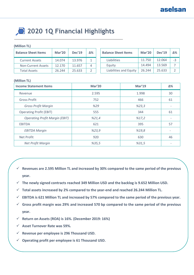# **2020 1Q Financial Highlights**

#### **(Million TL)**

| <b>Balance Sheet Items</b> | <b>Mar'20</b> | Dec'19 | ለ% |
|----------------------------|---------------|--------|----|
| <b>Current Assets</b>      | 14.074        | 13.976 |    |
| <b>Non-Current Assets</b>  | 12.170        | 11.657 |    |
| <b>Total Assets</b>        | 26.244        | 25.633 |    |

| <b>Balance Sheet Items</b> | <b>Mar'20</b> | <b>Dec'19</b> | ለ% |
|----------------------------|---------------|---------------|----|
| Liabilities                | 11.750        | 12.064        | -3 |
| Equity                     | 14.494        | 13.569        |    |
| Liabilities and Equity     | 26.244        | 25.633        |    |

#### **(Million TL)**

| <b>Income Statement Items</b>         | <b>Mar'20</b> | Mar'19 | Δ%                       |
|---------------------------------------|---------------|--------|--------------------------|
| Revenue                               | 2.595         | 1.998  | 30                       |
| <b>Gross Profit</b>                   | 752           | 466    | 61                       |
| <b>Gross Profit Margin</b>            | %29           | %23,3  | $\overline{\phantom{a}}$ |
| <b>Operating Profit (EBIT)</b>        | 555           | 344    | 61                       |
| <b>Operating Profit Margin (EBIT)</b> | %21,4         | %17,2  | $\overline{\phantom{a}}$ |
| <b>EBITDA</b>                         | 621           | 395    | 57                       |
| <b>EBITDA Margin</b>                  | %23,9         | %19,8  |                          |
| <b>Net Profit</b>                     | 920           | 630    | 46                       |
| <b>Net Profit Margin</b>              | %35,5         | %31,5  |                          |

- **Revenues are 2.595 Million TL and increased by 30% compared to the same period of the previous year.**
- **The newly signed contracts reached 349 Million USD and the backlog is 9.652 Million USD.**
- **Total assets increased by 2% compared to the year-end and reached 26.244 Million TL.**
- **EBITDA is 621 Million TL and increased by 57% compared to the same period of the previous year.**
- **Gross profit margin was 29% and increased 570 bp compared to the same period of the previous year.**
- **Return on Assets (ROA) is 16%. (December 2019: 16%)**
- **Asset Turnover Rate was 59%.**
- **Revenue per employee is 296 Thousand USD.**
- **Operating profit per employee is 61 Thousand USD.**